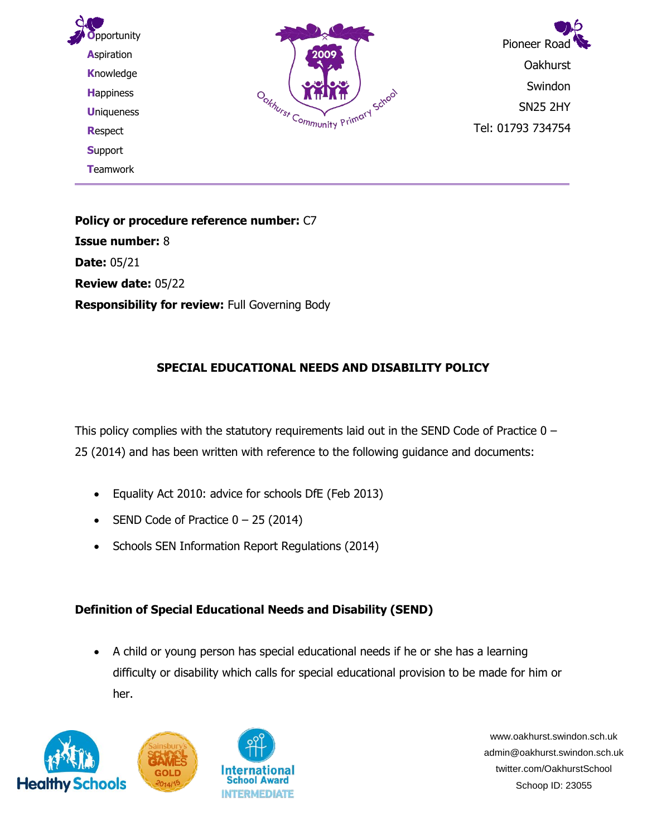

**Policy or procedure reference number:** C7 **Issue number:** 8 **Date:** 05/21 **Review date:** 05/22 **Responsibility for review:** Full Governing Body

## **SPECIAL EDUCATIONAL NEEDS AND DISABILITY POLICY**

This policy complies with the statutory requirements laid out in the SEND Code of Practice  $0 -$ 25 (2014) and has been written with reference to the following guidance and documents:

- Equality Act 2010: advice for schools DfE (Feb 2013)
- SEND Code of Practice  $0 25$  (2014)
- Schools SEN Information Report Regulations (2014)

## **Definition of Special Educational Needs and Disability (SEND)**

• A child or young person has special educational needs if he or she has a learning difficulty or disability which calls for special educational provision to be made for him or her.





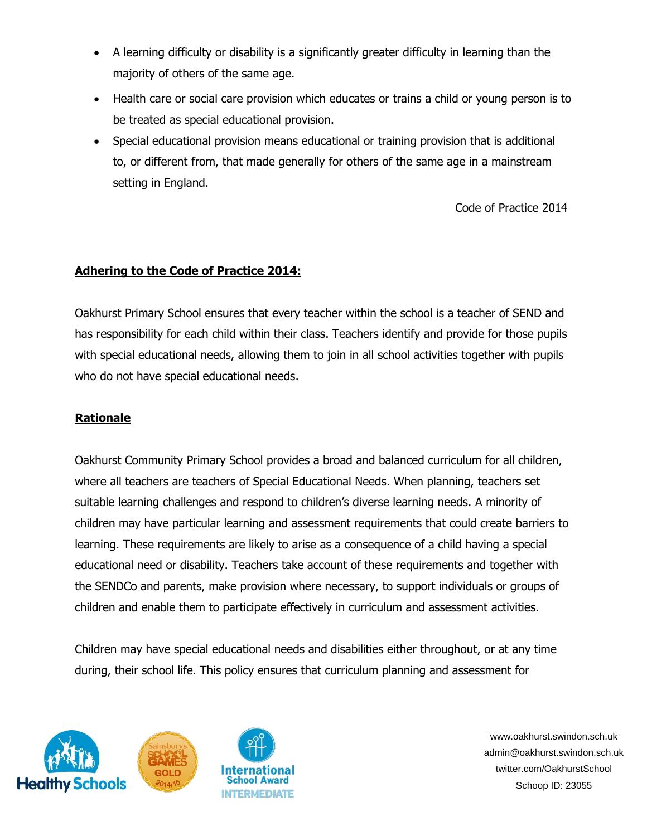- A learning difficulty or disability is a significantly greater difficulty in learning than the majority of others of the same age.
- Health care or social care provision which educates or trains a child or young person is to be treated as special educational provision.
- Special educational provision means educational or training provision that is additional to, or different from, that made generally for others of the same age in a mainstream setting in England.

Code of Practice 2014

#### **Adhering to the Code of Practice 2014:**

Oakhurst Primary School ensures that every teacher within the school is a teacher of SEND and has responsibility for each child within their class. Teachers identify and provide for those pupils with special educational needs, allowing them to join in all school activities together with pupils who do not have special educational needs.

### **Rationale**

Oakhurst Community Primary School provides a broad and balanced curriculum for all children, where all teachers are teachers of Special Educational Needs. When planning, teachers set suitable learning challenges and respond to children's diverse learning needs. A minority of children may have particular learning and assessment requirements that could create barriers to learning. These requirements are likely to arise as a consequence of a child having a special educational need or disability. Teachers take account of these requirements and together with the SENDCo and parents, make provision where necessary, to support individuals or groups of children and enable them to participate effectively in curriculum and assessment activities.

Children may have special educational needs and disabilities either throughout, or at any time during, their school life. This policy ensures that curriculum planning and assessment for





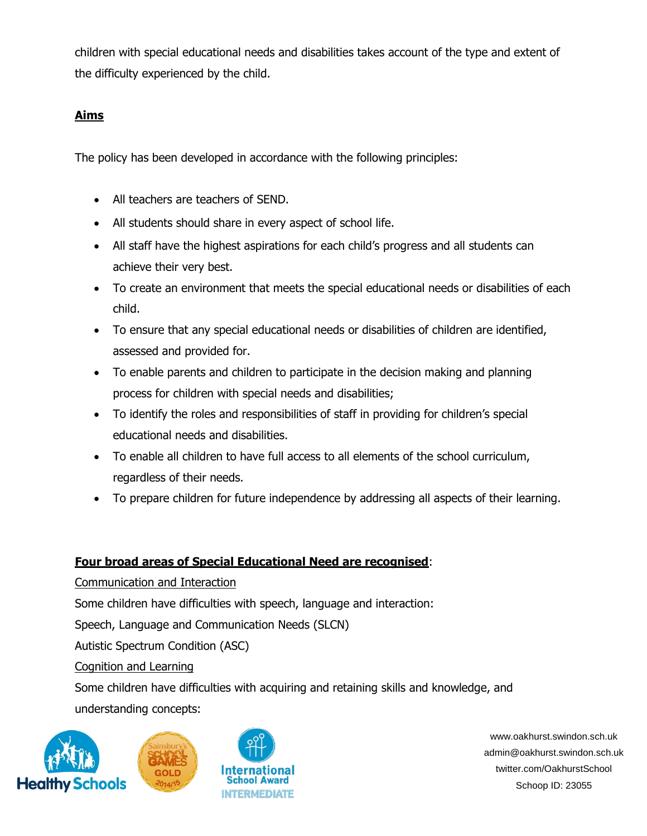children with special educational needs and disabilities takes account of the type and extent of the difficulty experienced by the child.

## **Aims**

The policy has been developed in accordance with the following principles:

- All teachers are teachers of SEND.
- All students should share in every aspect of school life.
- All staff have the highest aspirations for each child's progress and all students can achieve their very best.
- To create an environment that meets the special educational needs or disabilities of each child.
- To ensure that any special educational needs or disabilities of children are identified, assessed and provided for.
- To enable parents and children to participate in the decision making and planning process for children with special needs and disabilities;
- To identify the roles and responsibilities of staff in providing for children's special educational needs and disabilities.
- To enable all children to have full access to all elements of the school curriculum, regardless of their needs.
- To prepare children for future independence by addressing all aspects of their learning.

## **Four broad areas of Special Educational Need are recognised**:

Communication and Interaction

Some children have difficulties with speech, language and interaction:

Speech, Language and Communication Needs (SLCN)

Autistic Spectrum Condition (ASC)

Cognition and Learning

Some children have difficulties with acquiring and retaining skills and knowledge, and

understanding concepts:



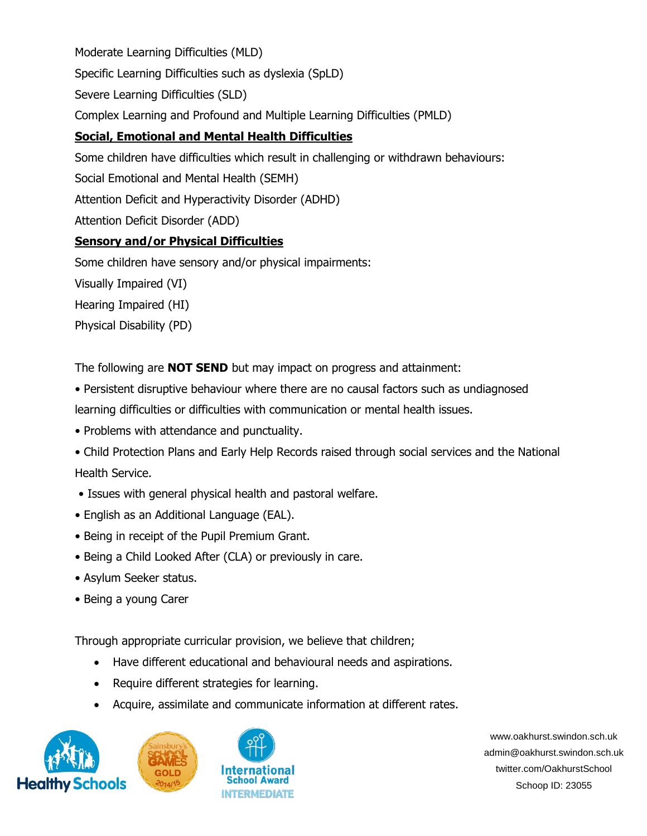Moderate Learning Difficulties (MLD)

Specific Learning Difficulties such as dyslexia (SpLD)

Severe Learning Difficulties (SLD)

Complex Learning and Profound and Multiple Learning Difficulties (PMLD)

# **Social, Emotional and Mental Health Difficulties**

Some children have difficulties which result in challenging or withdrawn behaviours:

Social Emotional and Mental Health (SEMH)

Attention Deficit and Hyperactivity Disorder (ADHD)

Attention Deficit Disorder (ADD)

## **Sensory and/or Physical Difficulties**

Some children have sensory and/or physical impairments:

Visually Impaired (VI)

Hearing Impaired (HI)

Physical Disability (PD)

The following are **NOT SEND** but may impact on progress and attainment:

• Persistent disruptive behaviour where there are no causal factors such as undiagnosed

learning difficulties or difficulties with communication or mental health issues.

- Problems with attendance and punctuality.
- Child Protection Plans and Early Help Records raised through social services and the National Health Service.
- Issues with general physical health and pastoral welfare.
- English as an Additional Language (EAL).
- Being in receipt of the Pupil Premium Grant.
- Being a Child Looked After (CLA) or previously in care.
- Asylum Seeker status.
- Being a young Carer

Through appropriate curricular provision, we believe that children;

- Have different educational and behavioural needs and aspirations.
- Require different strategies for learning.
- Acquire, assimilate and communicate information at different rates.





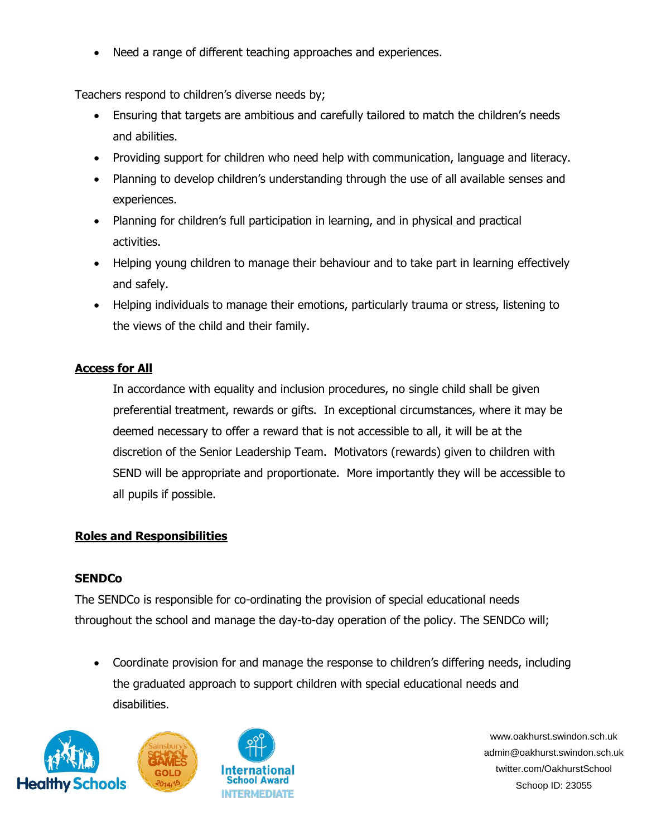Need a range of different teaching approaches and experiences.

Teachers respond to children's diverse needs by;

- Ensuring that targets are ambitious and carefully tailored to match the children's needs and abilities.
- Providing support for children who need help with communication, language and literacy.
- Planning to develop children's understanding through the use of all available senses and experiences.
- Planning for children's full participation in learning, and in physical and practical activities.
- Helping young children to manage their behaviour and to take part in learning effectively and safely.
- Helping individuals to manage their emotions, particularly trauma or stress, listening to the views of the child and their family.

## **Access for All**

In accordance with equality and inclusion procedures, no single child shall be given preferential treatment, rewards or gifts. In exceptional circumstances, where it may be deemed necessary to offer a reward that is not accessible to all, it will be at the discretion of the Senior Leadership Team. Motivators (rewards) given to children with SEND will be appropriate and proportionate. More importantly they will be accessible to all pupils if possible.

## **Roles and Responsibilities**

## **SENDCo**

The SENDCo is responsible for co-ordinating the provision of special educational needs throughout the school and manage the day-to-day operation of the policy. The SENDCo will;

• Coordinate provision for and manage the response to children's differing needs, including the graduated approach to support children with special educational needs and disabilities.





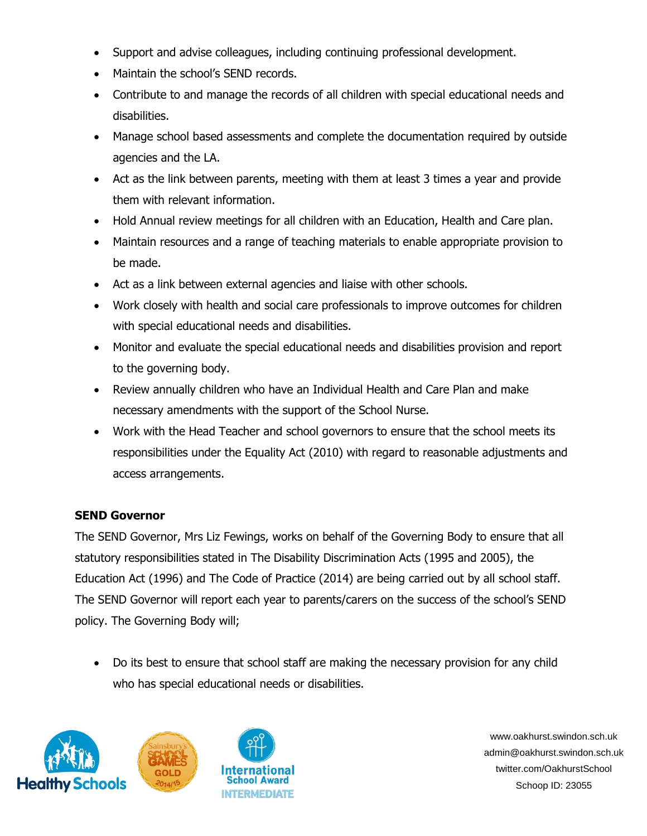- Support and advise colleagues, including continuing professional development.
- Maintain the school's SEND records.
- Contribute to and manage the records of all children with special educational needs and disabilities.
- Manage school based assessments and complete the documentation required by outside agencies and the LA.
- Act as the link between parents, meeting with them at least 3 times a year and provide them with relevant information.
- Hold Annual review meetings for all children with an Education, Health and Care plan.
- Maintain resources and a range of teaching materials to enable appropriate provision to be made.
- Act as a link between external agencies and liaise with other schools.
- Work closely with health and social care professionals to improve outcomes for children with special educational needs and disabilities.
- Monitor and evaluate the special educational needs and disabilities provision and report to the governing body.
- Review annually children who have an Individual Health and Care Plan and make necessary amendments with the support of the School Nurse.
- Work with the Head Teacher and school governors to ensure that the school meets its responsibilities under the Equality Act (2010) with regard to reasonable adjustments and access arrangements.

## **SEND Governor**

The SEND Governor, Mrs Liz Fewings, works on behalf of the Governing Body to ensure that all statutory responsibilities stated in The Disability Discrimination Acts (1995 and 2005), the Education Act (1996) and The Code of Practice (2014) are being carried out by all school staff. The SEND Governor will report each year to parents/carers on the success of the school's SEND policy. The Governing Body will;

• Do its best to ensure that school staff are making the necessary provision for any child who has special educational needs or disabilities.





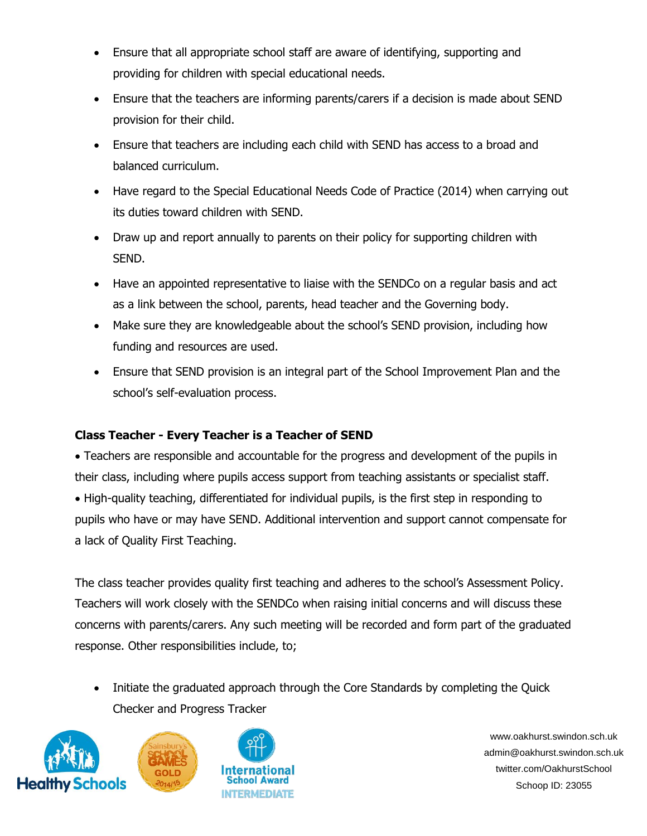- Ensure that all appropriate school staff are aware of identifying, supporting and providing for children with special educational needs.
- Ensure that the teachers are informing parents/carers if a decision is made about SEND provision for their child.
- Ensure that teachers are including each child with SEND has access to a broad and balanced curriculum.
- Have regard to the Special Educational Needs Code of Practice (2014) when carrying out its duties toward children with SEND.
- Draw up and report annually to parents on their policy for supporting children with SEND.
- Have an appointed representative to liaise with the SENDCo on a regular basis and act as a link between the school, parents, head teacher and the Governing body.
- Make sure they are knowledgeable about the school's SEND provision, including how funding and resources are used.
- Ensure that SEND provision is an integral part of the School Improvement Plan and the school's self-evaluation process.

## **Class Teacher - Every Teacher is a Teacher of SEND**

• Teachers are responsible and accountable for the progress and development of the pupils in their class, including where pupils access support from teaching assistants or specialist staff. • High-quality teaching, differentiated for individual pupils, is the first step in responding to pupils who have or may have SEND. Additional intervention and support cannot compensate for a lack of Quality First Teaching.

The class teacher provides quality first teaching and adheres to the school's Assessment Policy. Teachers will work closely with the SENDCo when raising initial concerns and will discuss these concerns with parents/carers. Any such meeting will be recorded and form part of the graduated response. Other responsibilities include, to;

• Initiate the graduated approach through the Core Standards by completing the Quick Checker and Progress Tracker





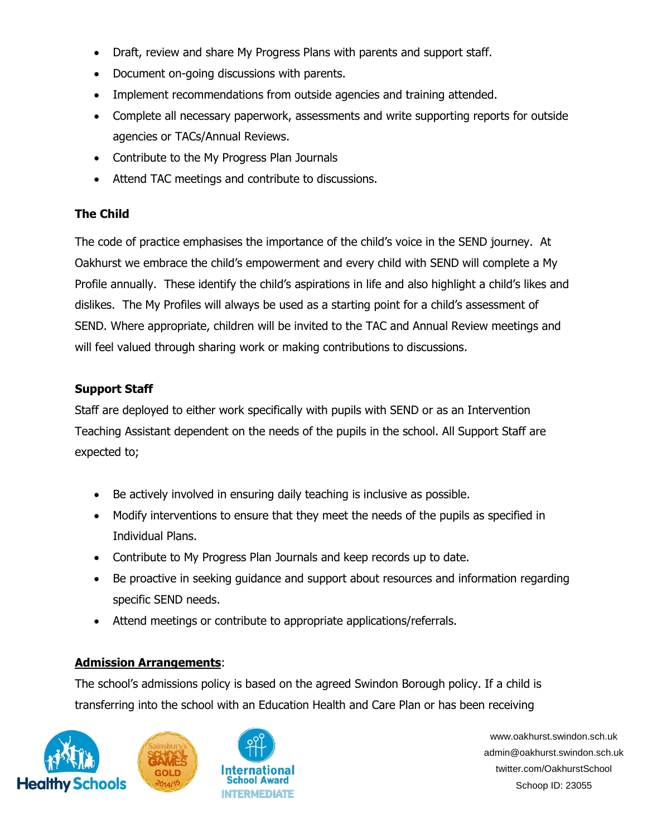- Draft, review and share My Progress Plans with parents and support staff.
- Document on-going discussions with parents.
- Implement recommendations from outside agencies and training attended.
- Complete all necessary paperwork, assessments and write supporting reports for outside agencies or TACs/Annual Reviews.
- Contribute to the My Progress Plan Journals
- Attend TAC meetings and contribute to discussions.

# **The Child**

The code of practice emphasises the importance of the child's voice in the SEND journey. At Oakhurst we embrace the child's empowerment and every child with SEND will complete a My Profile annually. These identify the child's aspirations in life and also highlight a child's likes and dislikes. The My Profiles will always be used as a starting point for a child's assessment of SEND. Where appropriate, children will be invited to the TAC and Annual Review meetings and will feel valued through sharing work or making contributions to discussions.

## **Support Staff**

Staff are deployed to either work specifically with pupils with SEND or as an Intervention Teaching Assistant dependent on the needs of the pupils in the school. All Support Staff are expected to;

- Be actively involved in ensuring daily teaching is inclusive as possible.
- Modify interventions to ensure that they meet the needs of the pupils as specified in Individual Plans.
- Contribute to My Progress Plan Journals and keep records up to date.
- Be proactive in seeking guidance and support about resources and information regarding specific SEND needs.
- Attend meetings or contribute to appropriate applications/referrals.

## **Admission Arrangements**:

The school's admissions policy is based on the agreed Swindon Borough policy. If a child is transferring into the school with an Education Health and Care Plan or has been receiving





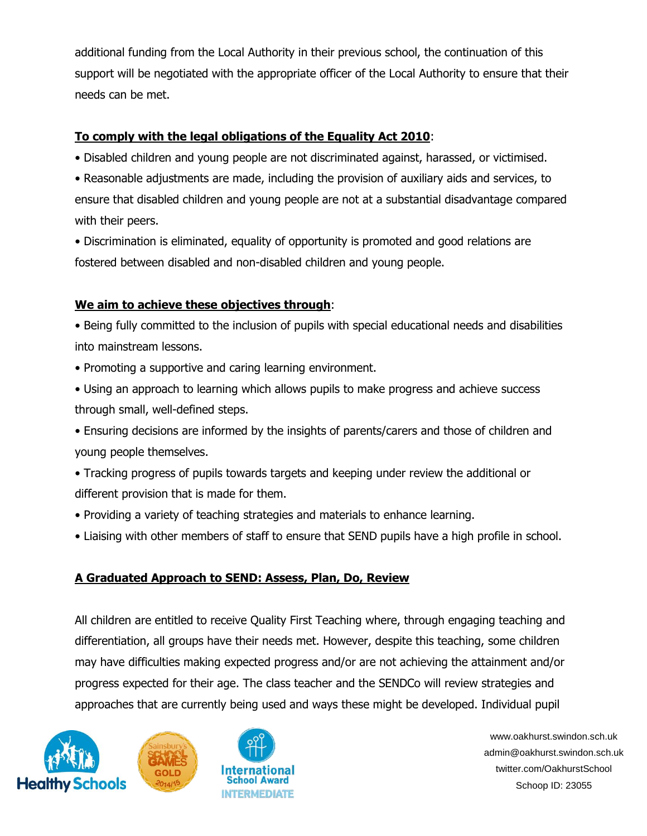additional funding from the Local Authority in their previous school, the continuation of this support will be negotiated with the appropriate officer of the Local Authority to ensure that their needs can be met.

## **To comply with the legal obligations of the Equality Act 2010**:

• Disabled children and young people are not discriminated against, harassed, or victimised.

• Reasonable adjustments are made, including the provision of auxiliary aids and services, to ensure that disabled children and young people are not at a substantial disadvantage compared with their peers.

• Discrimination is eliminated, equality of opportunity is promoted and good relations are fostered between disabled and non-disabled children and young people.

## **We aim to achieve these objectives through**:

• Being fully committed to the inclusion of pupils with special educational needs and disabilities into mainstream lessons.

- Promoting a supportive and caring learning environment.
- Using an approach to learning which allows pupils to make progress and achieve success through small, well-defined steps.
- Ensuring decisions are informed by the insights of parents/carers and those of children and young people themselves.
- Tracking progress of pupils towards targets and keeping under review the additional or different provision that is made for them.
- Providing a variety of teaching strategies and materials to enhance learning.
- Liaising with other members of staff to ensure that SEND pupils have a high profile in school.

## **A Graduated Approach to SEND: Assess, Plan, Do, Review**

All children are entitled to receive Quality First Teaching where, through engaging teaching and differentiation, all groups have their needs met. However, despite this teaching, some children may have difficulties making expected progress and/or are not achieving the attainment and/or progress expected for their age. The class teacher and the SENDCo will review strategies and approaches that are currently being used and ways these might be developed. Individual pupil





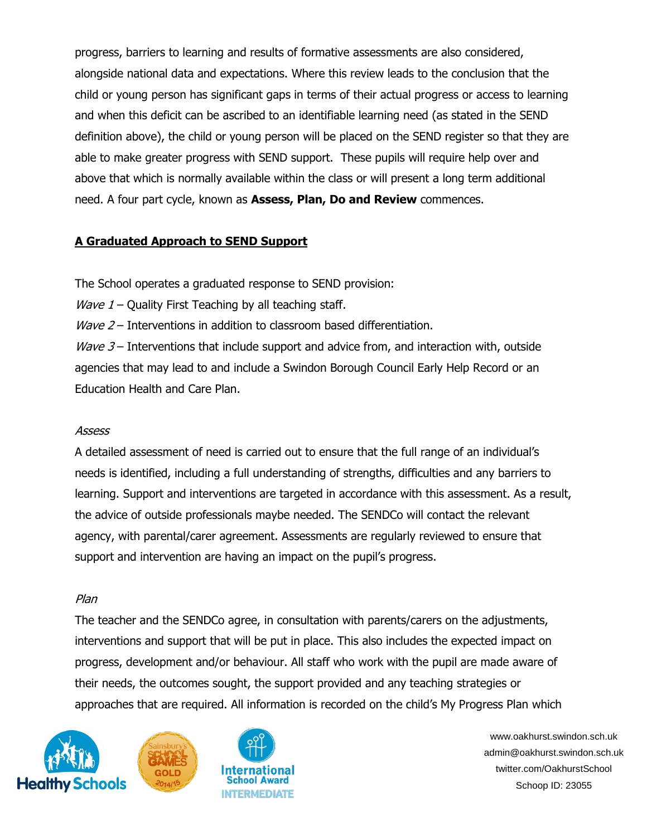progress, barriers to learning and results of formative assessments are also considered, alongside national data and expectations. Where this review leads to the conclusion that the child or young person has significant gaps in terms of their actual progress or access to learning and when this deficit can be ascribed to an identifiable learning need (as stated in the SEND definition above), the child or young person will be placed on the SEND register so that they are able to make greater progress with SEND support. These pupils will require help over and above that which is normally available within the class or will present a long term additional need. A four part cycle, known as **Assess, Plan, Do and Review** commences.

## **A Graduated Approach to SEND Support**

The School operates a graduated response to SEND provision:

*Wave 1* – Quality First Teaching by all teaching staff.

*Wave 2* – Interventions in addition to classroom based differentiation.

 $W$ ave 3 – Interventions that include support and advice from, and interaction with, outside agencies that may lead to and include a Swindon Borough Council Early Help Record or an Education Health and Care Plan.

#### Assess

A detailed assessment of need is carried out to ensure that the full range of an individual's needs is identified, including a full understanding of strengths, difficulties and any barriers to learning. Support and interventions are targeted in accordance with this assessment. As a result, the advice of outside professionals maybe needed. The SENDCo will contact the relevant agency, with parental/carer agreement. Assessments are regularly reviewed to ensure that support and intervention are having an impact on the pupil's progress.

## Plan

The teacher and the SENDCo agree, in consultation with parents/carers on the adjustments, interventions and support that will be put in place. This also includes the expected impact on progress, development and/or behaviour. All staff who work with the pupil are made aware of their needs, the outcomes sought, the support provided and any teaching strategies or approaches that are required. All information is recorded on the child's My Progress Plan which





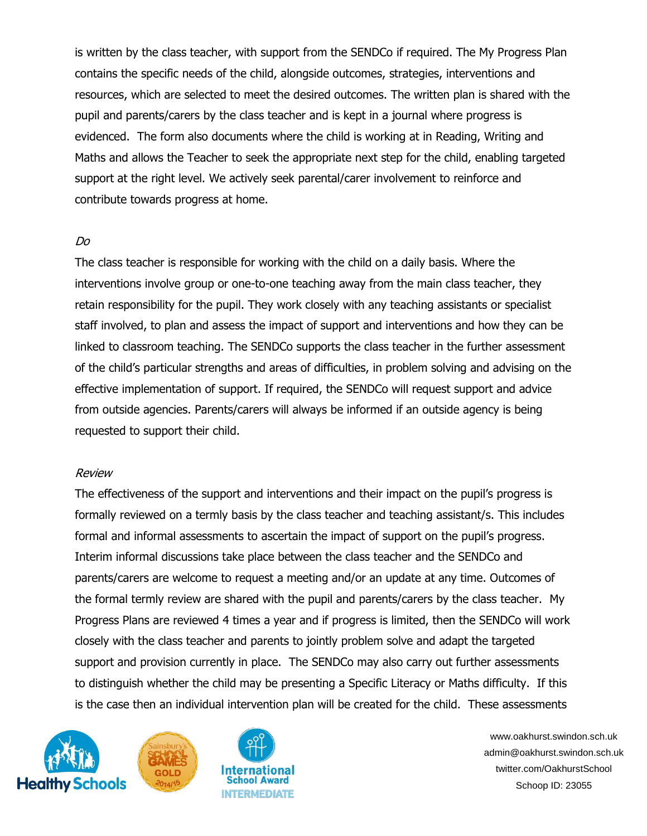is written by the class teacher, with support from the SENDCo if required. The My Progress Plan contains the specific needs of the child, alongside outcomes, strategies, interventions and resources, which are selected to meet the desired outcomes. The written plan is shared with the pupil and parents/carers by the class teacher and is kept in a journal where progress is evidenced. The form also documents where the child is working at in Reading, Writing and Maths and allows the Teacher to seek the appropriate next step for the child, enabling targeted support at the right level. We actively seek parental/carer involvement to reinforce and contribute towards progress at home.

#### Do

The class teacher is responsible for working with the child on a daily basis. Where the interventions involve group or one-to-one teaching away from the main class teacher, they retain responsibility for the pupil. They work closely with any teaching assistants or specialist staff involved, to plan and assess the impact of support and interventions and how they can be linked to classroom teaching. The SENDCo supports the class teacher in the further assessment of the child's particular strengths and areas of difficulties, in problem solving and advising on the effective implementation of support. If required, the SENDCo will request support and advice from outside agencies. Parents/carers will always be informed if an outside agency is being requested to support their child.

#### Review

The effectiveness of the support and interventions and their impact on the pupil's progress is formally reviewed on a termly basis by the class teacher and teaching assistant/s. This includes formal and informal assessments to ascertain the impact of support on the pupil's progress. Interim informal discussions take place between the class teacher and the SENDCo and parents/carers are welcome to request a meeting and/or an update at any time. Outcomes of the formal termly review are shared with the pupil and parents/carers by the class teacher. My Progress Plans are reviewed 4 times a year and if progress is limited, then the SENDCo will work closely with the class teacher and parents to jointly problem solve and adapt the targeted support and provision currently in place. The SENDCo may also carry out further assessments to distinguish whether the child may be presenting a Specific Literacy or Maths difficulty. If this is the case then an individual intervention plan will be created for the child. These assessments





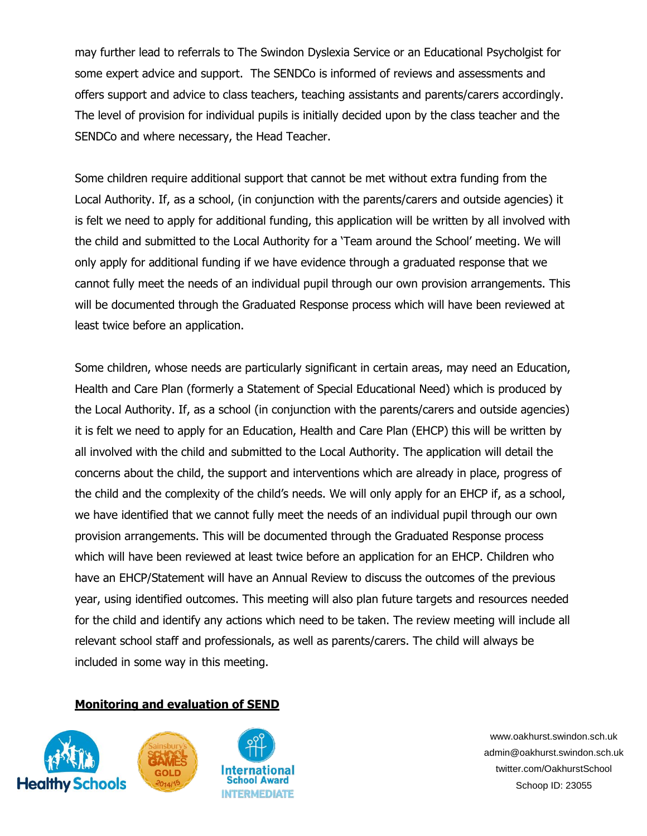may further lead to referrals to The Swindon Dyslexia Service or an Educational Psycholgist for some expert advice and support. The SENDCo is informed of reviews and assessments and offers support and advice to class teachers, teaching assistants and parents/carers accordingly. The level of provision for individual pupils is initially decided upon by the class teacher and the SENDCo and where necessary, the Head Teacher.

Some children require additional support that cannot be met without extra funding from the Local Authority. If, as a school, (in conjunction with the parents/carers and outside agencies) it is felt we need to apply for additional funding, this application will be written by all involved with the child and submitted to the Local Authority for a 'Team around the School' meeting. We will only apply for additional funding if we have evidence through a graduated response that we cannot fully meet the needs of an individual pupil through our own provision arrangements. This will be documented through the Graduated Response process which will have been reviewed at least twice before an application.

Some children, whose needs are particularly significant in certain areas, may need an Education, Health and Care Plan (formerly a Statement of Special Educational Need) which is produced by the Local Authority. If, as a school (in conjunction with the parents/carers and outside agencies) it is felt we need to apply for an Education, Health and Care Plan (EHCP) this will be written by all involved with the child and submitted to the Local Authority. The application will detail the concerns about the child, the support and interventions which are already in place, progress of the child and the complexity of the child's needs. We will only apply for an EHCP if, as a school, we have identified that we cannot fully meet the needs of an individual pupil through our own provision arrangements. This will be documented through the Graduated Response process which will have been reviewed at least twice before an application for an EHCP. Children who have an EHCP/Statement will have an Annual Review to discuss the outcomes of the previous year, using identified outcomes. This meeting will also plan future targets and resources needed for the child and identify any actions which need to be taken. The review meeting will include all relevant school staff and professionals, as well as parents/carers. The child will always be included in some way in this meeting.

#### **Monitoring and evaluation of SEND**





International School Award **INTERMEDIATE**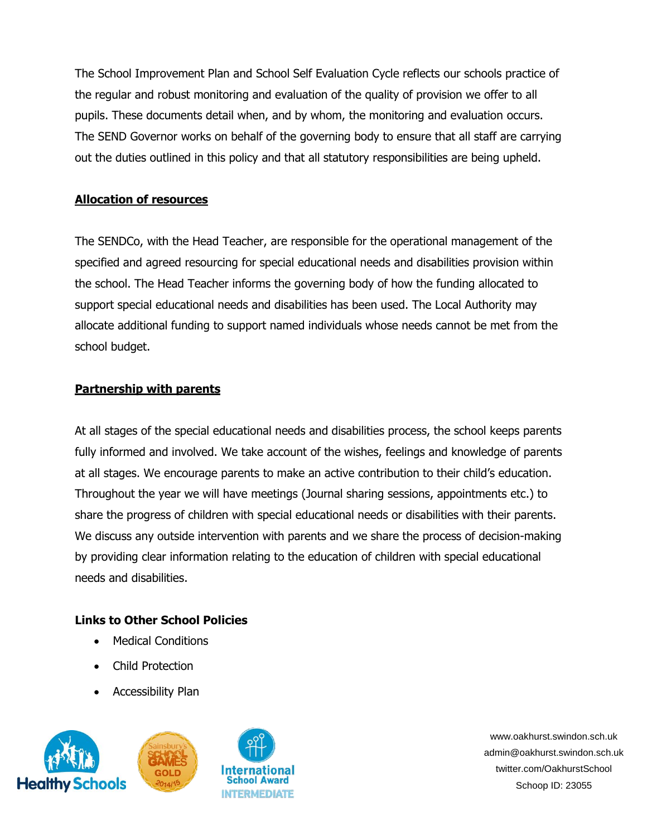The School Improvement Plan and School Self Evaluation Cycle reflects our schools practice of the regular and robust monitoring and evaluation of the quality of provision we offer to all pupils. These documents detail when, and by whom, the monitoring and evaluation occurs. The SEND Governor works on behalf of the governing body to ensure that all staff are carrying out the duties outlined in this policy and that all statutory responsibilities are being upheld.

### **Allocation of resources**

The SENDCo, with the Head Teacher, are responsible for the operational management of the specified and agreed resourcing for special educational needs and disabilities provision within the school. The Head Teacher informs the governing body of how the funding allocated to support special educational needs and disabilities has been used. The Local Authority may allocate additional funding to support named individuals whose needs cannot be met from the school budget.

#### **Partnership with parents**

At all stages of the special educational needs and disabilities process, the school keeps parents fully informed and involved. We take account of the wishes, feelings and knowledge of parents at all stages. We encourage parents to make an active contribution to their child's education. Throughout the year we will have meetings (Journal sharing sessions, appointments etc.) to share the progress of children with special educational needs or disabilities with their parents. We discuss any outside intervention with parents and we share the process of decision-making by providing clear information relating to the education of children with special educational needs and disabilities.

## **Links to Other School Policies**

- Medical Conditions
- Child Protection
- Accessibility Plan